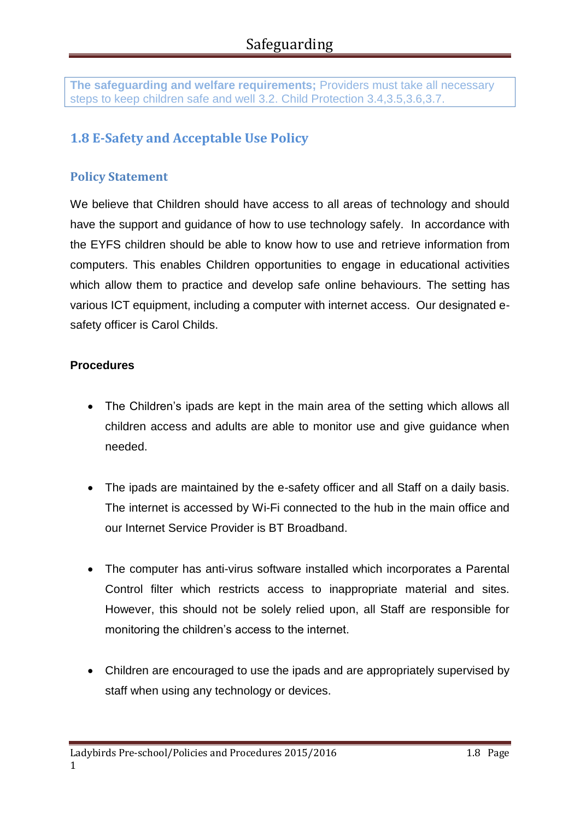**The safeguarding and welfare requirements;** Providers must take all necessary steps to keep children safe and well 3.2. Child Protection 3.4,3.5,3.6,3.7.

# **1.8 E-Safety and Acceptable Use Policy**

## **Policy Statement**

We believe that Children should have access to all areas of technology and should have the support and guidance of how to use technology safely. In accordance with the EYFS children should be able to know how to use and retrieve information from computers. This enables Children opportunities to engage in educational activities which allow them to practice and develop safe online behaviours. The setting has various ICT equipment, including a computer with internet access. Our designated esafety officer is Carol Childs.

#### **Procedures**

- The Children's ipads are kept in the main area of the setting which allows all children access and adults are able to monitor use and give guidance when needed.
- The ipads are maintained by the e-safety officer and all Staff on a daily basis. The internet is accessed by Wi-Fi connected to the hub in the main office and our Internet Service Provider is BT Broadband.
- The computer has anti-virus software installed which incorporates a Parental Control filter which restricts access to inappropriate material and sites. However, this should not be solely relied upon, all Staff are responsible for monitoring the children's access to the internet.
- Children are encouraged to use the ipads and are appropriately supervised by staff when using any technology or devices.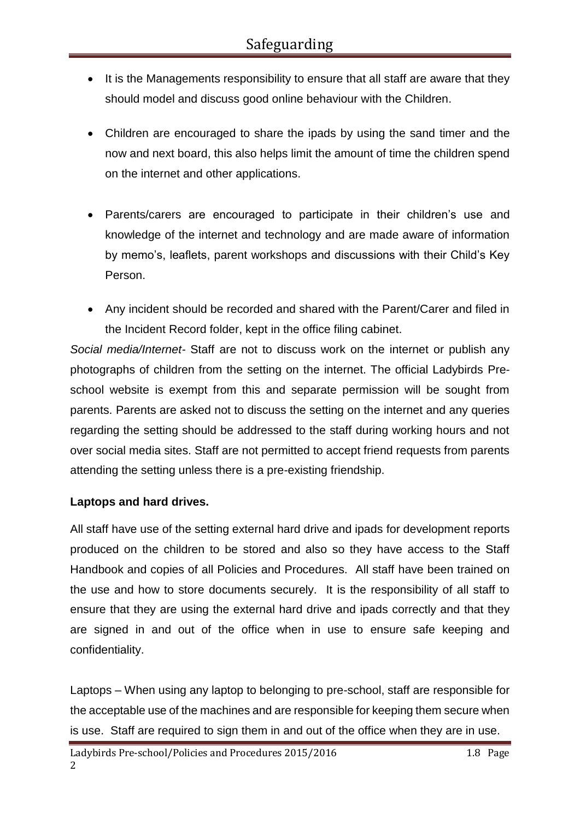- It is the Managements responsibility to ensure that all staff are aware that they should model and discuss good online behaviour with the Children.
- Children are encouraged to share the ipads by using the sand timer and the now and next board, this also helps limit the amount of time the children spend on the internet and other applications.
- Parents/carers are encouraged to participate in their children's use and knowledge of the internet and technology and are made aware of information by memo's, leaflets, parent workshops and discussions with their Child's Key Person.
- Any incident should be recorded and shared with the Parent/Carer and filed in the Incident Record folder, kept in the office filing cabinet.

*Social media/Internet-* Staff are not to discuss work on the internet or publish any photographs of children from the setting on the internet. The official Ladybirds Preschool website is exempt from this and separate permission will be sought from parents. Parents are asked not to discuss the setting on the internet and any queries regarding the setting should be addressed to the staff during working hours and not over social media sites. Staff are not permitted to accept friend requests from parents attending the setting unless there is a pre-existing friendship.

### **Laptops and hard drives.**

All staff have use of the setting external hard drive and ipads for development reports produced on the children to be stored and also so they have access to the Staff Handbook and copies of all Policies and Procedures. All staff have been trained on the use and how to store documents securely. It is the responsibility of all staff to ensure that they are using the external hard drive and ipads correctly and that they are signed in and out of the office when in use to ensure safe keeping and confidentiality.

Laptops – When using any laptop to belonging to pre-school, staff are responsible for the acceptable use of the machines and are responsible for keeping them secure when is use. Staff are required to sign them in and out of the office when they are in use.